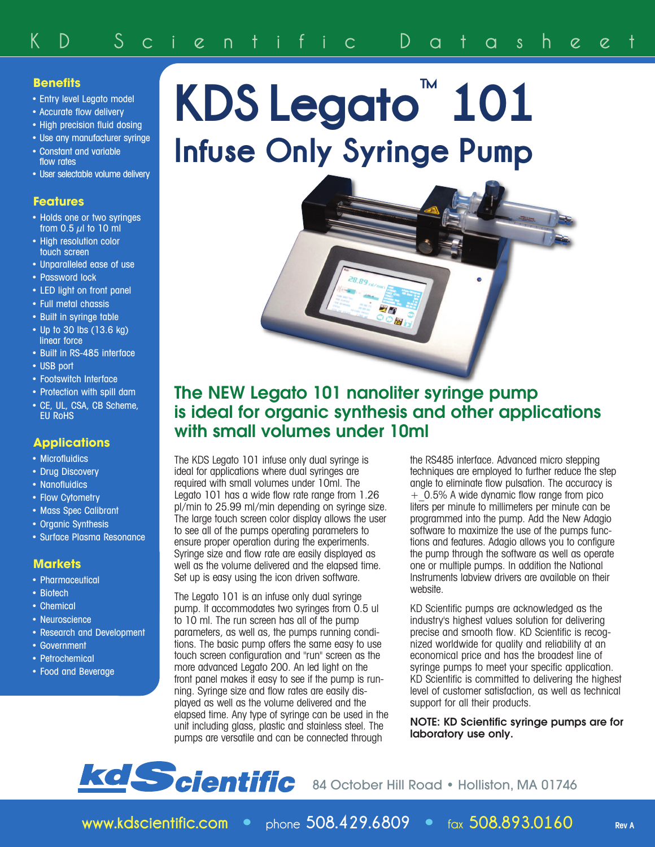### **Benefits**

- Entry level Legato model
- Accurate flow delivery
- High precision fluid dosing
- Use any manufacturer syringe • Constant and variable flow rates
- User selectable volume delivery

#### **Features**

- Holds one or two syringes from  $0.5 \mu$  to 10 ml
- High resolution color touch screen
- Unparalleled ease of use
- Password lock
- LED light on front panel
- Full metal chassis
- Built in syringe table
- Up to 30 lbs (13.6 kg) linear force
- Built in RS-485 interface
- USB port
- Footswitch Interface
- Protection with spill dam
- CE, UL, CSA, CB Scheme, EU RoHS

#### **Applications**

- Microfluidics
- Drug Discovery
- Nanofluidics
- Flow Cytometry
- Mass Spec Calibrant
- Organic Synthesis
- Surface Plasma Resonance

#### **Markets**

- Pharmaceutical
- Biotech
- Chemical
- Neuroscience
- Research and Development
- Government
- Petrochemical
- Food and Beverage

# **KDS Legato ™ 101 Infuse Only Syringe Pump**



## **The NEW Legato 101 nanoliter syringe pump is ideal for organic synthesis and other applications with small volumes under 10ml**

The KDS Legato 101 infuse only dual syringe is ideal for applications where dual syringes are required with small volumes under 10ml. The Legato 101 has a wide flow rate range from 1.26 pl/min to 25.99 ml/min depending on syringe size. The large touch screen color display allows the user to see all of the pumps operating parameters to ensure proper operation during the experiments. Syringe size and flow rate are easily displayed as well as the volume delivered and the elapsed time. Set up is easy using the icon driven software.

The Legato 101 is an infuse only dual syringe pump. It accommodates two syringes from 0.5 ul to 10 ml. The run screen has all of the pump parameters, as well as, the pumps running conditions. The basic pump offers the same easy to use touch screen configuration and "run" screen as the more advanced Legato 200. An led light on the front panel makes it easy to see if the pump is running. Syringe size and flow rates are easily displayed as well as the volume delivered and the elapsed time. Any type of syringe can be used in the unit including glass, plastic and stainless steel. The pumps are versatile and can be connected through

the RS485 interface. Advanced micro stepping techniques are employed to further reduce the step angle to eliminate flow pulsation. The accuracy is +\_0.5% A wide dynamic flow range from pico liters per minute to millimeters per minute can be programmed into the pump. Add the New Adagio software to maximize the use of the pumps functions and features. Adagio allows you to configure the pump through the software as well as operate one or multiple pumps. In addition the National Instruments labview drivers are available on their website.

KD Scientific pumps are acknowledged as the industry's highest values solution for delivering precise and smooth flow. KD Scientific is recognized worldwide for quality and reliability at an economical price and has the broadest line of syringe pumps to meet your specific application. KD Scientific is committed to delivering the highest level of customer satisfaction, as well as technical support for all their products.

**NOTE: KD Scientific syringe pumps are for laboratory use only.**

## **kd Scientific** 84 October Hill Road • Holliston, MA 01746